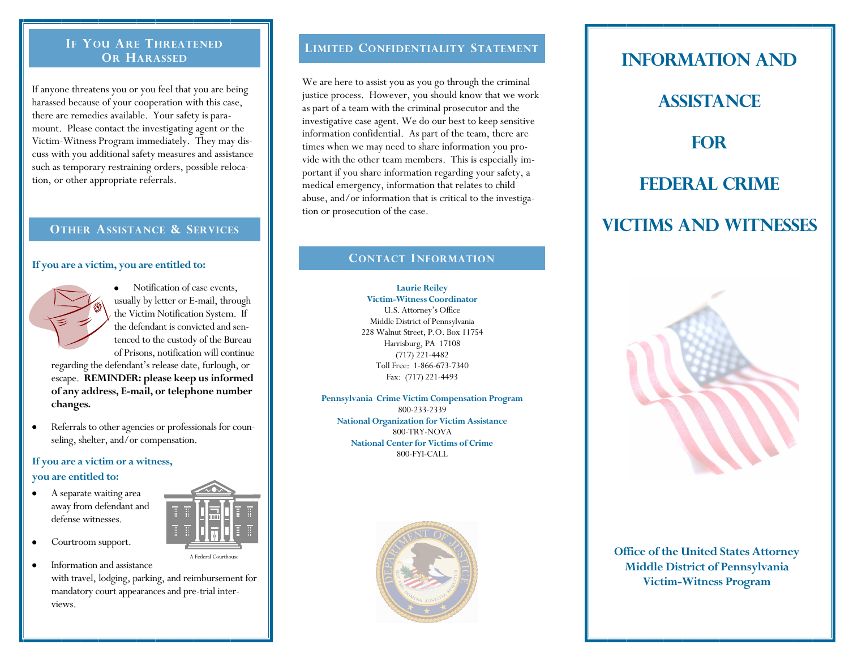#### **IF YOU ARE THREATENED OR HARASSED**

If anyone threatens you or you feel that you are being harassed because of your cooperation with this case, there are remedies available. Your safety is paramount. Please contact the investigating agent or the Victim-Witness Program immediately. They may discuss with you additional safety measures and assistance such as temporary restraining orders, possible relocation, or other appropriate referrals.

#### **OTHER ASSISTANCE & SERVICES**

#### **If you are a victim, you are entitled to:**



Notification of case events, usually by letter or E-mail, through the Victim Notification System. If the defendant is convicted and sentenced to the custody of the Bureau of Prisons, notification will continue

regarding the defendant's release date, furlough, or escape. **REMINDER: please keep us informed of any address, E-mail, or telephone number changes.**

Referrals to other agencies or professionals for counseling, shelter, and/or compensation.

#### **If you are a victim or a witness, you are entitled to:**

- A separate waiting area away from defendant and defense witnesses.
- Courtroom support.

Information and assistance with travel, lodging, parking, and reimbursement for mandatory court appearances and pre-trial interviews.

A Federal Courthous

#### **LIMITED CONFIDENTIALITY STATEMENT**

We are here to assist you as you go through the criminal justice process. However, you should know that we work as part of a team with the criminal prosecutor and the investigative case agent. We do our best to keep sensitive information confidential. As part of the team, there are times when we may need to share information you provide with the other team members. This is especially important if you share information regarding your safety, a medical emergency, information that relates to child abuse, and/or information that is critical to the investigation or prosecution of the case.

#### **CONTACT INFORMATION**

**Laurie Reiley Victim-Witness Coordinator** U.S. Attorney's Office Middle District of Pennsylvania 228 Walnut Street, P.O. Box 11754 Harrisburg, PA 17108 (717) 221-4482 Toll Free: 1-866-673-7340 Fax: (717) 221-4493

**Pennsylvania Crime Victim Compensation Program** 800-233-2339 **National Organization for Victim Assistance** 800-TRY-NOVA **National Center for Victims of Crime** 800-FYI-CALL



# **Information And Assistance For Federal Crime**

## **Victims and Witnesses**



**Office of the United States Attorney Middle District of Pennsylvania Victim-Witness Program**